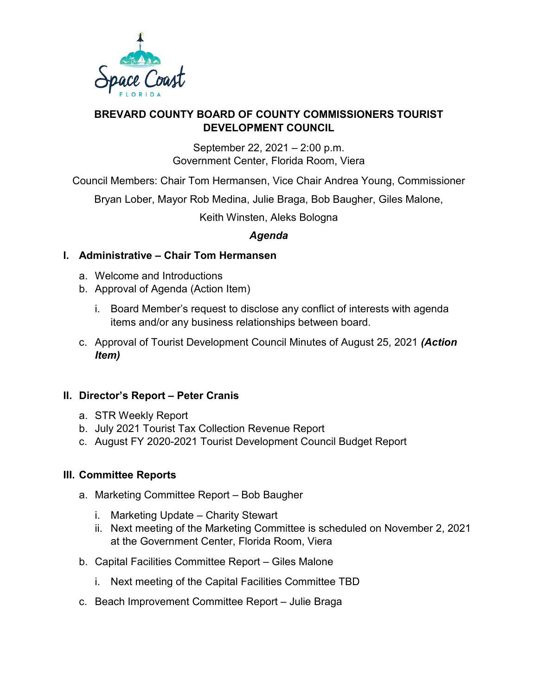

#### **BREVARD COUNTY BOARD OF COUNTY COMMISSIONERS TOURIST DEVELOPMENT COUNCIL**

September 22, 2021 – 2:00 p.m. Government Center, Florida Room, Viera

Council Members: Chair Tom Hermansen, Vice Chair Andrea Young, Commissioner

Bryan Lober, Mayor Rob Medina, Julie Braga, Bob Baugher, Giles Malone,

Keith Winsten, Aleks Bologna

# *Agenda*

## **I. Administrative – Chair Tom Hermansen**

- a. Welcome and Introductions
- b. Approval of Agenda (Action Item)
	- i. Board Member's request to disclose any conflict of interests with agenda items and/or any business relationships between board.
- c. Approval of Tourist Development Council Minutes of August 25, 2021 *(Action Item)*

## **II. Director's Report – Peter Cranis**

- a. STR Weekly Report
- b. July 2021 Tourist Tax Collection Revenue Report
- c. August FY 2020-2021 Tourist Development Council Budget Report

## **III. Committee Reports**

- a. Marketing Committee Report Bob Baugher
	- i. Marketing Update Charity Stewart
	- ii. Next meeting of the Marketing Committee is scheduled on November 2, 2021 at the Government Center, Florida Room, Viera
- b. Capital Facilities Committee Report Giles Malone
	- i. Next meeting of the Capital Facilities Committee TBD
- c. Beach Improvement Committee Report Julie Braga